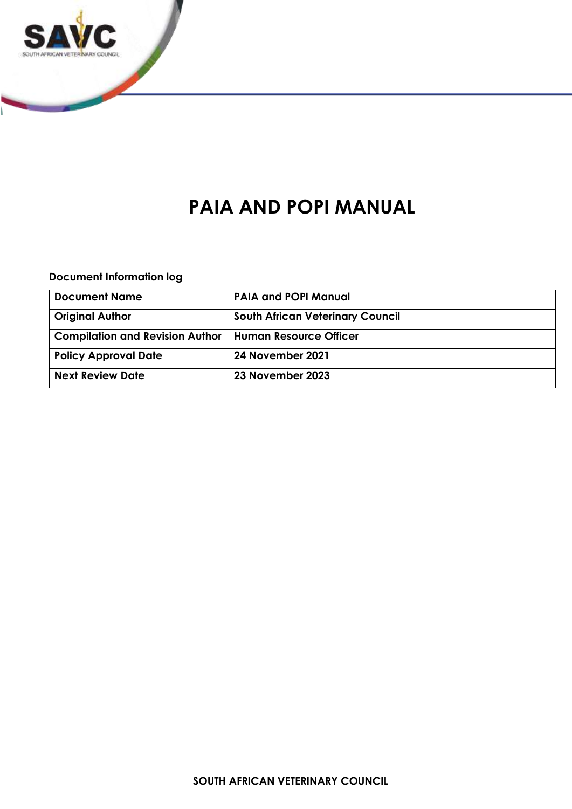

# **PAIA AND POPI MANUAL**

**Document Information log**

| <b>Document Name</b>                   | <b>PAIA and POPI Manual</b>             |
|----------------------------------------|-----------------------------------------|
| <b>Original Author</b>                 | <b>South African Veterinary Council</b> |
| <b>Compilation and Revision Author</b> | Human Resource Officer                  |
| <b>Policy Approval Date</b>            | 24 November 2021                        |
| <b>Next Review Date</b>                | 23 November 2023                        |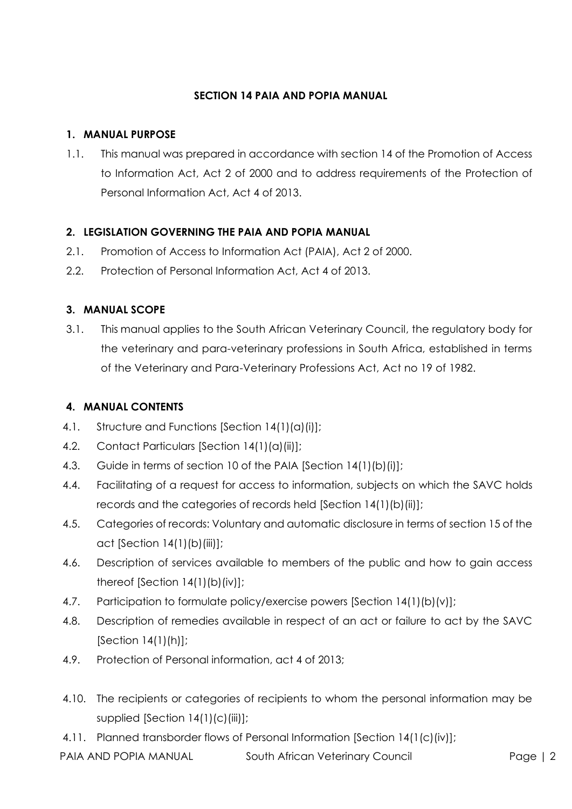#### **SECTION 14 PAIA AND POPIA MANUAL**

#### **1. MANUAL PURPOSE**

1.1. This manual was prepared in accordance with section 14 of the Promotion of Access to Information Act, Act 2 of 2000 and to address requirements of the Protection of Personal Information Act, Act 4 of 2013.

# **2. LEGISLATION GOVERNING THE PAIA AND POPIA MANUAL**

- 2.1. Promotion of Access to Information Act (PAIA), Act 2 of 2000.
- 2.2. Protection of Personal Information Act, Act 4 of 2013.

### **3. MANUAL SCOPE**

3.1. This manual applies to the South African Veterinary Council, the regulatory body for the veterinary and para-veterinary professions in South Africa, established in terms of the Veterinary and Para-Veterinary Professions Act, Act no 19 of 1982.

# **4. MANUAL CONTENTS**

- 4.1. Structure and Functions [Section 14(1)(a)(i)];
- 4.2. Contact Particulars [Section 14(1)(a)(ii)];
- 4.3. Guide in terms of section 10 of the PAIA [Section 14(1)(b)(i)];
- 4.4. Facilitating of a request for access to information, subjects on which the SAVC holds records and the categories of records held [Section 14(1)(b)(ii)];
- 4.5. Categories of records: Voluntary and automatic disclosure in terms of section 15 of the act [Section 14(1)(b)(iii)];
- 4.6. Description of services available to members of the public and how to gain access thereof [Section 14(1)(b)(iv)];
- 4.7. Participation to formulate policy/exercise powers [Section 14(1)(b)(v)];
- 4.8. Description of remedies available in respect of an act or failure to act by the SAVC [Section 14(1)(h)];
- 4.9. Protection of Personal information, act 4 of 2013;
- 4.10. The recipients or categories of recipients to whom the personal information may be supplied [Section 14(1)(c)(iii)];
- 4.11. Planned transborder flows of Personal Information [Section 14(1(c)(iv)];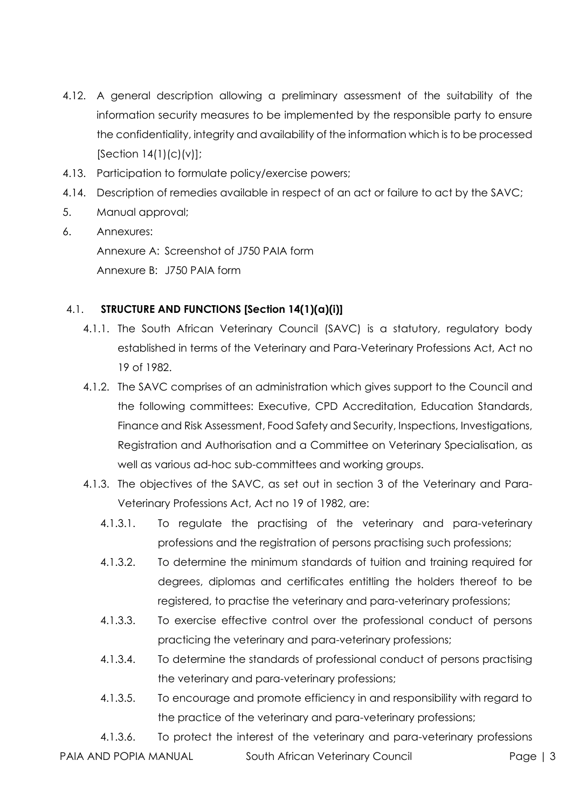- 4.12. A general description allowing a preliminary assessment of the suitability of the information security measures to be implemented by the responsible party to ensure the confidentiality, integrity and availability of the information which is to be processed  $[Section 14(1)(c)(v)]$ ;
- 4.13. Participation to formulate policy/exercise powers;
- 4.14. Description of remedies available in respect of an act or failure to act by the SAVC;
- 5. Manual approval;
- 6. Annexures: Annexure A: Screenshot of J750 PAIA form Annexure B: J750 PAIA form

#### 4.1. **STRUCTURE AND FUNCTIONS [Section 14(1)(a)(i)]**

- 4.1.1. The South African Veterinary Council (SAVC) is a statutory, regulatory body established in terms of the Veterinary and Para-Veterinary Professions Act, Act no 19 of 1982.
- 4.1.2. The SAVC comprises of an administration which gives support to the Council and the following committees: Executive, CPD Accreditation, Education Standards, Finance and Risk Assessment, Food Safety and Security, Inspections, Investigations, Registration and Authorisation and a Committee on Veterinary Specialisation, as well as various ad-hoc sub-committees and working groups.
- 4.1.3. The objectives of the SAVC, as set out in section 3 of the Veterinary and Para-Veterinary Professions Act, Act no 19 of 1982, are:
	- 4.1.3.1. To regulate the practising of the veterinary and para-veterinary professions and the registration of persons practising such professions;
	- 4.1.3.2. To determine the minimum standards of tuition and training required for degrees, diplomas and certificates entitling the holders thereof to be registered, to practise the veterinary and para-veterinary professions;
	- 4.1.3.3. To exercise effective control over the professional conduct of persons practicing the veterinary and para-veterinary professions;
	- 4.1.3.4. To determine the standards of professional conduct of persons practising the veterinary and para-veterinary professions;
	- 4.1.3.5. To encourage and promote efficiency in and responsibility with regard to the practice of the veterinary and para-veterinary professions;

PAIA AND POPIA MANUAL South African Veterinary Council Page | 3 4.1.3.6. To protect the interest of the veterinary and para-veterinary professions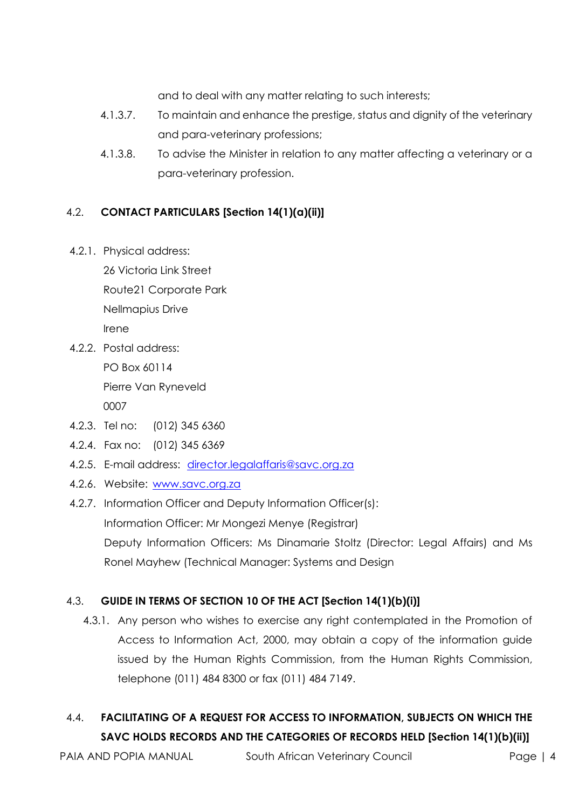and to deal with any matter relating to such interests;

- 4.1.3.7. To maintain and enhance the prestige, status and dignity of the veterinary and para-veterinary professions;
- 4.1.3.8. To advise the Minister in relation to any matter affecting a veterinary or a para-veterinary profession.

# 4.2. **CONTACT PARTICULARS [Section 14(1)(a)(ii)]**

4.2.1. Physical address:

26 Victoria Link Street Route21 Corporate Park Nellmapius Drive Irene

- 4.2.2. Postal address: PO Box 60114 Pierre Van Ryneveld 0007
- 4.2.3. Tel no: (012) 345 6360
- 4.2.4. Fax no: (012) 345 6369
- 4.2.5. E-mail address: [director.legalaffaris@savc.org.za](mailto:director.legalaffaris@savc.org.za)
- 4.2.6. Website: [www.savc.org.za](http://www.savc.org.za/)
- 4.2.7. Information Officer and Deputy Information Officer(s): Information Officer: Mr Mongezi Menye (Registrar) Deputy Information Officers: Ms Dinamarie Stoltz (Director: Legal Affairs) and Ms Ronel Mayhew (Technical Manager: Systems and Design

# 4.3. **GUIDE IN TERMS OF SECTION 10 OF THE ACT [Section 14(1)(b)(i)]**

4.3.1. Any person who wishes to exercise any right contemplated in the Promotion of Access to Information Act, 2000, may obtain a copy of the information guide issued by the Human Rights Commission, from the Human Rights Commission, telephone (011) 484 8300 or fax (011) 484 7149.

# 4.4. **FACILITATING OF A REQUEST FOR ACCESS TO INFORMATION, SUBJECTS ON WHICH THE SAVC HOLDS RECORDS AND THE CATEGORIES OF RECORDS HELD [Section 14(1)(b)(ii)]**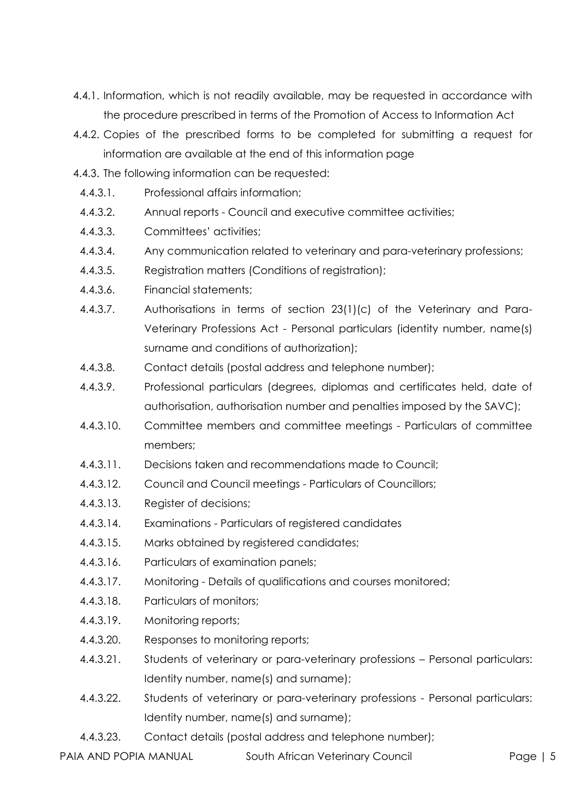- 4.4.1. Information, which is not readily available, may be requested in accordance with the procedure prescribed in terms of the Promotion of Access to Information Act
- 4.4.2. Copies of the prescribed forms to be completed for submitting a request for information are available at the end of this information page
- 4.4.3. The following information can be requested:
	- 4.4.3.1. Professional affairs information;
	- 4.4.3.2. Annual reports Council and executive committee activities;
	- 4.4.3.3. Committees' activities;
	- 4.4.3.4. Any communication related to veterinary and para-veterinary professions;
	- 4.4.3.5. Registration matters (Conditions of registration);
	- 4.4.3.6. Financial statements;
	- 4.4.3.7. Authorisations in terms of section 23(1)(c) of the Veterinary and Para-Veterinary Professions Act - Personal particulars (identity number, name(s) surname and conditions of authorization);
	- 4.4.3.8. Contact details (postal address and telephone number);
	- 4.4.3.9. Professional particulars (degrees, diplomas and certificates held, date of authorisation, authorisation number and penalties imposed by the SAVC);
	- 4.4.3.10. Committee members and committee meetings Particulars of committee members;
	- 4.4.3.11. Decisions taken and recommendations made to Council;
	- 4.4.3.12. Council and Council meetings Particulars of Councillors;
	- 4.4.3.13. Register of decisions;
	- 4.4.3.14. Examinations Particulars of registered candidates
	- 4.4.3.15. Marks obtained by registered candidates;
	- 4.4.3.16. Particulars of examination panels;
	- 4.4.3.17. Monitoring Details of qualifications and courses monitored;
	- 4.4.3.18. Particulars of monitors;
	- 4.4.3.19. Monitoring reports;
	- 4.4.3.20. Responses to monitoring reports;
	- 4.4.3.21. Students of veterinary or para-veterinary professions Personal particulars: Identity number, name(s) and surname);
	- 4.4.3.22. Students of veterinary or para-veterinary professions Personal particulars: Identity number, name(s) and surname);
	- 4.4.3.23. Contact details (postal address and telephone number);
- PAIA AND POPIA MANUAL South African Veterinary Council Page | 5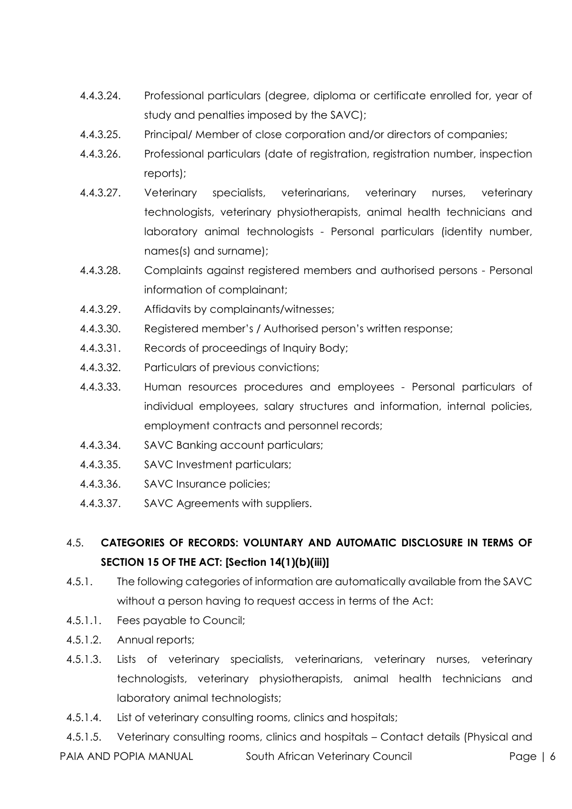- 4.4.3.24. Professional particulars (degree, diploma or certificate enrolled for, year of study and penalties imposed by the SAVC);
- 4.4.3.25. Principal/ Member of close corporation and/or directors of companies;
- 4.4.3.26. Professional particulars (date of registration, registration number, inspection reports);
- 4.4.3.27. Veterinary specialists, veterinarians, veterinary nurses, veterinary technologists, veterinary physiotherapists, animal health technicians and laboratory animal technologists - Personal particulars (identity number, names(s) and surname);
- 4.4.3.28. Complaints against registered members and authorised persons Personal information of complainant;
- 4.4.3.29. Affidavits by complainants/witnesses;
- 4.4.3.30. Registered member's / Authorised person's written response;
- 4.4.3.31. Records of proceedings of Inquiry Body;
- 4.4.3.32. Particulars of previous convictions;
- 4.4.3.33. Human resources procedures and employees Personal particulars of individual employees, salary structures and information, internal policies, employment contracts and personnel records;
- 4.4.3.34. SAVC Banking account particulars;
- 4.4.3.35. SAVC Investment particulars;
- 4.4.3.36. SAVC Insurance policies;
- 4.4.3.37. SAVC Agreements with suppliers.

# 4.5. **CATEGORIES OF RECORDS: VOLUNTARY AND AUTOMATIC DISCLOSURE IN TERMS OF SECTION 15 OF THE ACT: [Section 14(1)(b)(iii)]**

- 4.5.1. The following categories of information are automatically available from the SAVC without a person having to request access in terms of the Act:
- 4.5.1.1. Fees payable to Council;
- 4.5.1.2. Annual reports;
- 4.5.1.3. Lists of veterinary specialists, veterinarians, veterinary nurses, veterinary technologists, veterinary physiotherapists, animal health technicians and laboratory animal technologists;
- 4.5.1.4. List of veterinary consulting rooms, clinics and hospitals;

PAIA AND POPIA MANUAL South African Veterinary Council Page | 6 4.5.1.5. Veterinary consulting rooms, clinics and hospitals – Contact details (Physical and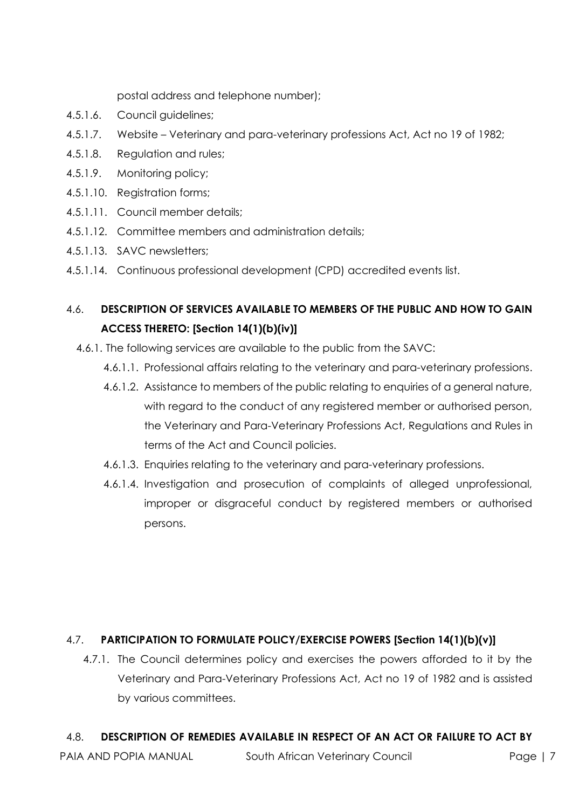postal address and telephone number);

- 4.5.1.6. Council guidelines;
- 4.5.1.7. Website Veterinary and para-veterinary professions Act, Act no 19 of 1982;
- 4.5.1.8. Regulation and rules;
- 4.5.1.9. Monitoring policy;
- 4.5.1.10. Registration forms;
- 4.5.1.11. Council member details;
- 4.5.1.12. Committee members and administration details;
- 4.5.1.13. SAVC newsletters;
- 4.5.1.14. Continuous professional development (CPD) accredited events list.

# 4.6. **DESCRIPTION OF SERVICES AVAILABLE TO MEMBERS OF THE PUBLIC AND HOW TO GAIN ACCESS THERETO: [Section 14(1)(b)(iv)]**

- 4.6.1. The following services are available to the public from the SAVC:
	- 4.6.1.1. Professional affairs relating to the veterinary and para-veterinary professions.
	- 4.6.1.2. Assistance to members of the public relating to enquiries of a general nature, with regard to the conduct of any registered member or authorised person, the Veterinary and Para-Veterinary Professions Act, Regulations and Rules in terms of the Act and Council policies.
	- 4.6.1.3. Enquiries relating to the veterinary and para-veterinary professions.
	- 4.6.1.4. Investigation and prosecution of complaints of alleged unprofessional, improper or disgraceful conduct by registered members or authorised persons.

#### 4.7. **PARTICIPATION TO FORMULATE POLICY/EXERCISE POWERS [Section 14(1)(b)(v)]**

4.7.1. The Council determines policy and exercises the powers afforded to it by the Veterinary and Para-Veterinary Professions Act, Act no 19 of 1982 and is assisted by various committees.

#### 4.8. **DESCRIPTION OF REMEDIES AVAILABLE IN RESPECT OF AN ACT OR FAILURE TO ACT BY**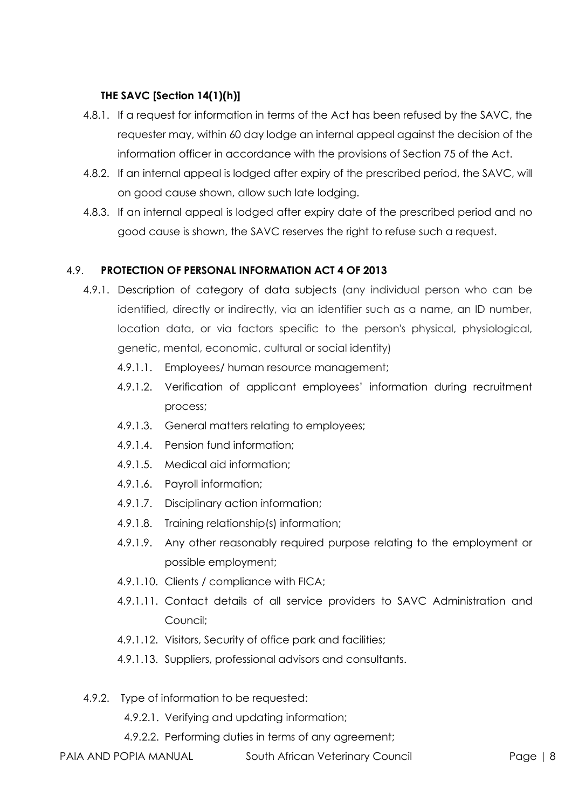### **THE SAVC [Section 14(1)(h)]**

- 4.8.1. If a request for information in terms of the Act has been refused by the SAVC, the requester may, within 60 day lodge an internal appeal against the decision of the information officer in accordance with the provisions of Section 75 of the Act.
- 4.8.2. If an internal appeal is lodged after expiry of the prescribed period, the SAVC, will on good cause shown, allow such late lodging.
- 4.8.3. If an internal appeal is lodged after expiry date of the prescribed period and no good cause is shown, the SAVC reserves the right to refuse such a request.

### 4.9. **PROTECTION OF PERSONAL INFORMATION ACT 4 OF 2013**

- 4.9.1. Description of category of data subjects (any individual person who can be identified, directly or indirectly, via an identifier such as a name, an ID number, location data, or via factors specific to the person's physical, physiological, genetic, mental, economic, cultural or social identity)
	- 4.9.1.1. Employees/ human resource management;
	- 4.9.1.2. Verification of applicant employees' information during recruitment process;
	- 4.9.1.3. General matters relating to employees;
	- 4.9.1.4. Pension fund information;
	- 4.9.1.5. Medical aid information;
	- 4.9.1.6. Payroll information;
	- 4.9.1.7. Disciplinary action information;
	- 4.9.1.8. Training relationship(s) information;
	- 4.9.1.9. Any other reasonably required purpose relating to the employment or possible employment;
	- 4.9.1.10. Clients / compliance with FICA;
	- 4.9.1.11. Contact details of all service providers to SAVC Administration and Council;
	- 4.9.1.12. Visitors, Security of office park and facilities;
	- 4.9.1.13. Suppliers, professional advisors and consultants.
- 4.9.2. Type of information to be requested:

4.9.2.1. Verifying and updating information;

4.9.2.2. Performing duties in terms of any agreement;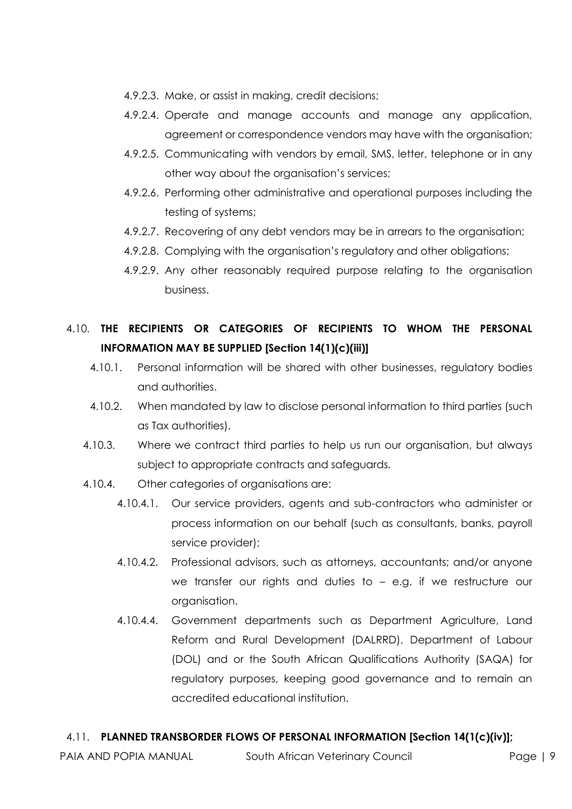- 4.9.2.3. Make, or assist in making, credit decisions;
- 4.9.2.4. Operate and manage accounts and manage any application, agreement or correspondence vendors may have with the organisation;
- 4.9.2.5. Communicating with vendors by email, SMS, letter, telephone or in any other way about the organisation's services;
- 4.9.2.6. Performing other administrative and operational purposes including the testing of systems;
- 4.9.2.7. Recovering of any debt vendors may be in arrears to the organisation;
- 4.9.2.8. Complying with the organisation's regulatory and other obligations;
- 4.9.2.9. Any other reasonably required purpose relating to the organisation business.

# 4.10. **THE RECIPIENTS OR CATEGORIES OF RECIPIENTS TO WHOM THE PERSONAL INFORMATION MAY BE SUPPLIED [Section 14(1)(c)(iii)]**

- 4.10.1. Personal information will be shared with other businesses, regulatory bodies and authorities.
- 4.10.2. When mandated by law to disclose personal information to third parties (such as Tax authorities).
- 4.10.3. Where we contract third parties to help us run our organisation, but always subject to appropriate contracts and safeguards.
- 4.10.4. Other categories of organisations are:
	- 4.10.4.1. Our service providers, agents and sub-contractors who administer or process information on our behalf (such as consultants, banks, payroll service provider);
	- 4.10.4.2. Professional advisors, such as attorneys, accountants; and/or anyone we transfer our rights and duties to – e.g. if we restructure our organisation.
	- 4.10.4.4. Government departments such as Department Agriculture, Land Reform and Rural Development (DALRRD), Department of Labour (DOL) and or the South African Qualifications Authority (SAQA) for regulatory purposes, keeping good governance and to remain an accredited educational institution.

#### 4.11. **PLANNED TRANSBORDER FLOWS OF PERSONAL INFORMATION [Section 14(1(c)(iv)];**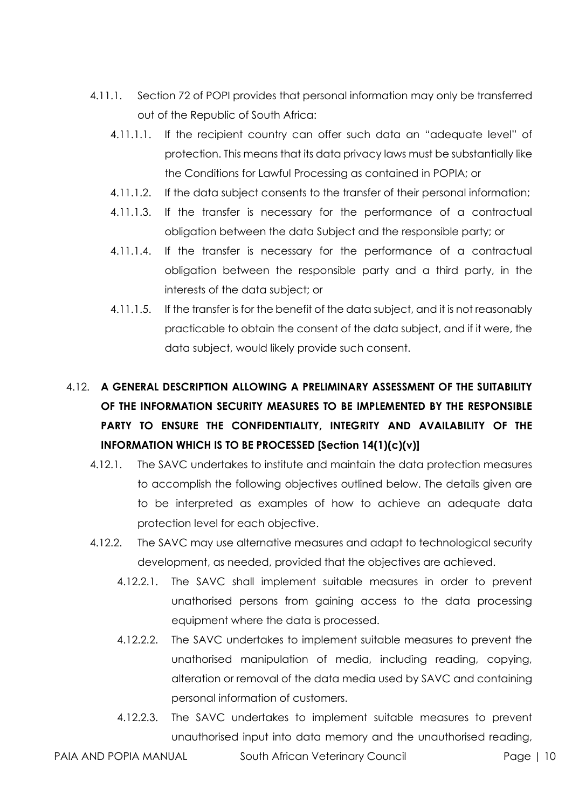- 4.11.1. Section 72 of POPI provides that personal information may only be transferred out of the Republic of South Africa:
	- 4.11.1.1. If the recipient country can offer such data an "adequate level" of protection. This means that its data privacy laws must be substantially like the Conditions for Lawful Processing as contained in POPIA; or
	- 4.11.1.2. If the data subject consents to the transfer of their personal information;
	- 4.11.1.3. If the transfer is necessary for the performance of a contractual obligation between the data Subject and the responsible party; or
	- 4.11.1.4. If the transfer is necessary for the performance of a contractual obligation between the responsible party and a third party, in the interests of the data subject; or
	- 4.11.1.5. If the transfer is for the benefit of the data subject, and it is not reasonably practicable to obtain the consent of the data subject, and if it were, the data subject, would likely provide such consent.

# 4.12. **A GENERAL DESCRIPTION ALLOWING A PRELIMINARY ASSESSMENT OF THE SUITABILITY OF THE INFORMATION SECURITY MEASURES TO BE IMPLEMENTED BY THE RESPONSIBLE PARTY TO ENSURE THE CONFIDENTIALITY, INTEGRITY AND AVAILABILITY OF THE INFORMATION WHICH IS TO BE PROCESSED [Section 14(1)(c)(v)]**

- 4.12.1. The SAVC undertakes to institute and maintain the data protection measures to accomplish the following objectives outlined below. The details given are to be interpreted as examples of how to achieve an adequate data protection level for each objective.
- 4.12.2. The SAVC may use alternative measures and adapt to technological security development, as needed, provided that the objectives are achieved.
	- 4.12.2.1. The SAVC shall implement suitable measures in order to prevent unathorised persons from gaining access to the data processing equipment where the data is processed.
	- 4.12.2.2. The SAVC undertakes to implement suitable measures to prevent the unathorised manipulation of media, including reading, copying, alteration or removal of the data media used by SAVC and containing personal information of customers.
	- 4.12.2.3. The SAVC undertakes to implement suitable measures to prevent unauthorised input into data memory and the unauthorised reading,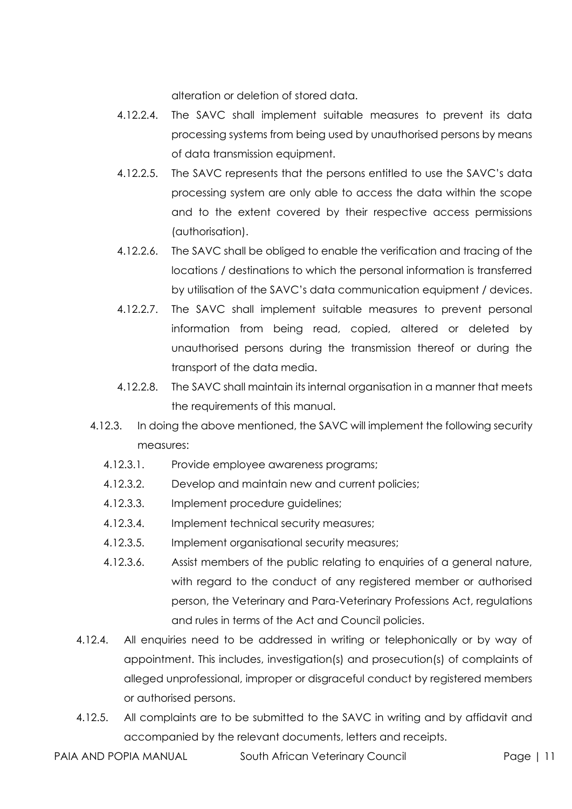alteration or deletion of stored data.

- 4.12.2.4. The SAVC shall implement suitable measures to prevent its data processing systems from being used by unauthorised persons by means of data transmission equipment.
- 4.12.2.5. The SAVC represents that the persons entitled to use the SAVC's data processing system are only able to access the data within the scope and to the extent covered by their respective access permissions (authorisation).
- 4.12.2.6. The SAVC shall be obliged to enable the verification and tracing of the locations / destinations to which the personal information is transferred by utilisation of the SAVC's data communication equipment / devices.
- 4.12.2.7. The SAVC shall implement suitable measures to prevent personal information from being read, copied, altered or deleted by unauthorised persons during the transmission thereof or during the transport of the data media.
- 4.12.2.8. The SAVC shall maintain its internal organisation in a manner that meets the requirements of this manual.
- 4.12.3. In doing the above mentioned, the SAVC will implement the following security measures:
	- 4.12.3.1. Provide employee awareness programs;
	- 4.12.3.2. Develop and maintain new and current policies;
	- 4.12.3.3. Implement procedure guidelines;
	- 4.12.3.4. Implement technical security measures;
	- 4.12.3.5. Implement organisational security measures;
	- 4.12.3.6. Assist members of the public relating to enquiries of a general nature, with regard to the conduct of any registered member or authorised person, the Veterinary and Para-Veterinary Professions Act, regulations and rules in terms of the Act and Council policies.
- 4.12.4. All enquiries need to be addressed in writing or telephonically or by way of appointment. This includes, investigation(s) and prosecution(s) of complaints of alleged unprofessional, improper or disgraceful conduct by registered members or authorised persons.
- 4.12.5. All complaints are to be submitted to the SAVC in writing and by affidavit and accompanied by the relevant documents, letters and receipts.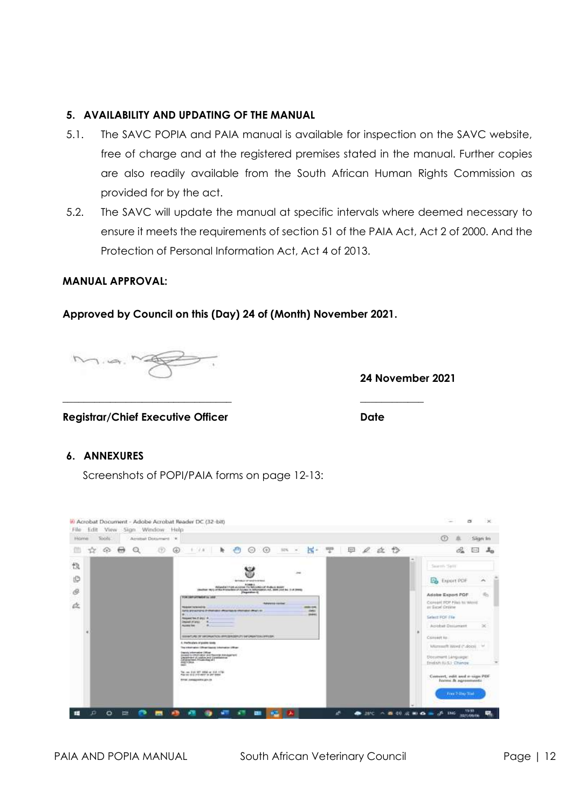#### **5. AVAILABILITY AND UPDATING OF THE MANUAL**

- 5.1. The SAVC POPIA and PAIA manual is available for inspection on the SAVC website, free of charge and at the registered premises stated in the manual. Further copies are also readily available from the South African Human Rights Commission as provided for by the act.
- 5.2. The SAVC will update the manual at specific intervals where deemed necessary to ensure it meets the requirements of section 51 of the PAIA Act, Act 2 of 2000. And the Protection of Personal Information Act, Act 4 of 2013.

#### **MANUAL APPROVAL:**

#### **Approved by Council on this (Day) 24 of (Month) November 2021.**

**\_\_\_\_\_\_\_\_\_\_\_\_\_\_\_\_\_\_\_\_\_\_\_\_\_\_\_\_\_\_\_\_ \_\_\_\_\_\_\_\_\_\_\_\_**

Mig. Ne

**24 November 2021**

**Registrar/Chief Executive Officer Date**

#### **6. ANNEXURES**

Screenshots of POPI/PAIA forms on page 12-13:

| <b>Howe</b> | Todals.        |                   |            | Abrobat Document 14 |   |                                                                                                       |           |                                                                                        |                                   |                                                            |                                                                                           |                           |    |      |  |                                                                                                                                                                                                                                                                                                                                                                                                                                                                                 | $^{\circ}$                                                          | Silan In |
|-------------|----------------|-------------------|------------|---------------------|---|-------------------------------------------------------------------------------------------------------|-----------|----------------------------------------------------------------------------------------|-----------------------------------|------------------------------------------------------------|-------------------------------------------------------------------------------------------|---------------------------|----|------|--|---------------------------------------------------------------------------------------------------------------------------------------------------------------------------------------------------------------------------------------------------------------------------------------------------------------------------------------------------------------------------------------------------------------------------------------------------------------------------------|---------------------------------------------------------------------|----------|
| ŵ           | C <sub>R</sub> | $\leftrightarrow$ | $^{\circ}$ | æ                   | ⊕ |                                                                                                       | $1 - 2.8$ | ħ.                                                                                     | Θ                                 | $\oplus$                                                   |                                                                                           | Ħ.                        | 쨧. | 甲ノ立ち |  |                                                                                                                                                                                                                                                                                                                                                                                                                                                                                 | $\mathcal{O}_{\mathbf{m}}$<br><b>D-C</b>                            | A.       |
| 慢           |                |                   |            |                     |   |                                                                                                       |           |                                                                                        |                                   |                                                            |                                                                                           |                           |    |      |  | $\frac{1}{2} \left( \frac{1}{2} \right) \left( \frac{1}{2} \right) \left( \frac{1}{2} \right) \left( \frac{1}{2} \right) \left( \frac{1}{2} \right) \left( \frac{1}{2} \right) \left( \frac{1}{2} \right) \left( \frac{1}{2} \right) \left( \frac{1}{2} \right) \left( \frac{1}{2} \right) \left( \frac{1}{2} \right) \left( \frac{1}{2} \right) \left( \frac{1}{2} \right) \left( \frac{1}{2} \right) \left( \frac{1}{2} \right) \left( \frac{1}{2} \right) \left( \frac$<br>÷ | Swareh Sant                                                         |          |
| tO          |                |                   |            |                     |   |                                                                                                       |           |                                                                                        | <b>Remediate of small brandom</b> | <b>NEWSLET FOR ACCURACTO RESIDENCE PUBLIC BOARD</b>        |                                                                                           |                           |    |      |  |                                                                                                                                                                                                                                                                                                                                                                                                                                                                                 | <b>B</b> Export PDF                                                 | œ<br>A   |
| ó           |                |                   |            |                     |   | TOO SEPUTENTAL LEE                                                                                    |           |                                                                                        | Paguidita V.                      |                                                            | (Swifter: Hit I) of the Primariboo of Acuses in Attornation and, 3024 2410 bo. 2-10 30006 |                           |    |      |  |                                                                                                                                                                                                                                                                                                                                                                                                                                                                                 | Adobe Export POF                                                    | dir.     |
| 奁           |                |                   |            |                     |   | <b>ROSAN Totalschip</b>                                                                               |           | forte individuals in manager after tap to immated about an                             |                                   |                                                            | <b><i>MARKED COTTAL</i></b>                                                               | 4949-1046<br><b>ABMIE</b> |    |      |  |                                                                                                                                                                                                                                                                                                                                                                                                                                                                                 | Craneart POP Pilais to World.<br>or Seal Orders                     |          |
|             |                |                   |            |                     |   | <b>Witness</b><br>Respond for it drips in                                                             |           |                                                                                        |                                   |                                                            |                                                                                           | man:                      |    |      |  |                                                                                                                                                                                                                                                                                                                                                                                                                                                                                 | Select POR File                                                     |          |
|             |                |                   |            |                     |   | <b>Assessment Committee</b>                                                                           |           |                                                                                        |                                   |                                                            |                                                                                           |                           |    |      |  |                                                                                                                                                                                                                                                                                                                                                                                                                                                                                 | Acidial Desument                                                    | $\infty$ |
|             |                |                   |            |                     |   |                                                                                                       |           |                                                                                        |                                   | ESSATURE OF INFORMATION INVESTIGATION OF DIRECTOR OFFICER. |                                                                                           |                           |    |      |  |                                                                                                                                                                                                                                                                                                                                                                                                                                                                                 | Consent to:                                                         |          |
|             |                |                   |            |                     |   | A Parficulars of popies kinds                                                                         |           | The chartages (Wrap Gasta) (shortakter (Wrap-                                          |                                   |                                                            |                                                                                           |                           |    |      |  |                                                                                                                                                                                                                                                                                                                                                                                                                                                                                 | Warrauft Word (".docn)<br><b>THE REPORT OF A PROPERTY OF A REAL</b> |          |
|             |                |                   |            |                     |   | Deputy Informative Diffuse<br>APROVISION                                                              |           | Forest Control Minimize Science of Lance<br>Department of copitation of Constitutional |                                   |                                                            |                                                                                           |                           |    |      |  |                                                                                                                                                                                                                                                                                                                                                                                                                                                                                 | Document Language:<br>Immini (U.S.) Change                          |          |
|             |                |                   |            |                     |   | Tel. no: 013 307 4400 or 314 1700<br>Painter did you want in the term.<br><b>BYAK SWAGOARN GIV OF</b> |           |                                                                                        |                                   |                                                            |                                                                                           |                           |    |      |  |                                                                                                                                                                                                                                                                                                                                                                                                                                                                                 | Convert, edit and e-sign PDF<br>history. B: egreements              |          |
|             |                |                   |            |                     |   |                                                                                                       | nno       |                                                                                        |                                   |                                                            |                                                                                           |                           |    |      |  |                                                                                                                                                                                                                                                                                                                                                                                                                                                                                 | From 2-Day 2010                                                     |          |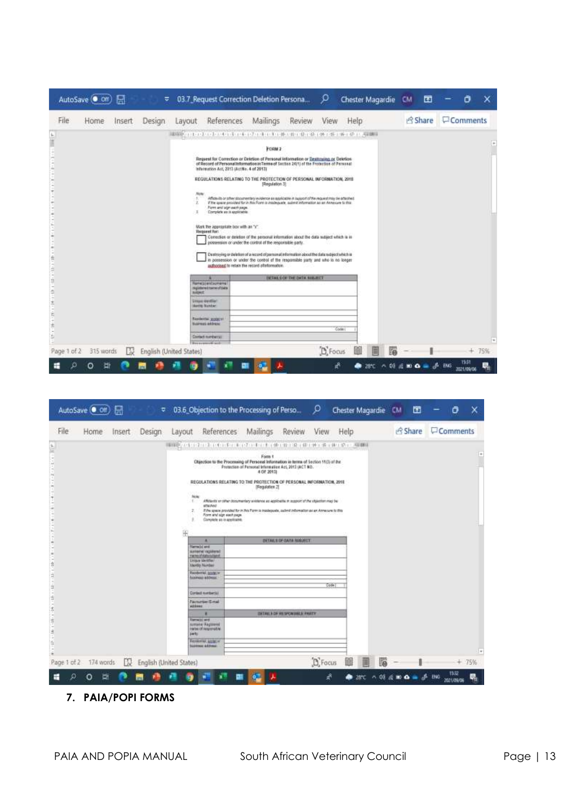|                                                                                                                                                         | AutoSave (COff) |        | ₩      |                         | 03.7_Request Correction Deletion Persona                                                                                                                                                                                      |                                                                                                                                                                                                                                                                                                                                                                                         |                                          | م       | Chester Magardie | <b>CM</b> | 団                |                | ο                   | x   |
|---------------------------------------------------------------------------------------------------------------------------------------------------------|-----------------|--------|--------|-------------------------|-------------------------------------------------------------------------------------------------------------------------------------------------------------------------------------------------------------------------------|-----------------------------------------------------------------------------------------------------------------------------------------------------------------------------------------------------------------------------------------------------------------------------------------------------------------------------------------------------------------------------------------|------------------------------------------|---------|------------------|-----------|------------------|----------------|---------------------|-----|
| File                                                                                                                                                    | Home            | Insert | Design | Layout                  | <b>References</b>                                                                                                                                                                                                             | Mailings                                                                                                                                                                                                                                                                                                                                                                                | Review                                   | View    | Help             |           |                  | Share Comments |                     |     |
| Ł.                                                                                                                                                      |                 |        |        |                         | ARRIVED TO A CHARGE A CHARGE OF CHAIR CHAIRS AND ARRESTS ON A CHAIR AND                                                                                                                                                       |                                                                                                                                                                                                                                                                                                                                                                                         |                                          |         |                  |           |                  |                |                     |     |
| Î                                                                                                                                                       |                 |        |        |                         |                                                                                                                                                                                                                               | FORM 2                                                                                                                                                                                                                                                                                                                                                                                  |                                          |         |                  |           |                  |                |                     | F   |
| Ξ<br>m                                                                                                                                                  |                 |        |        |                         | Request for Correction or Deletion of Personal Information or Deatoning or Deletion<br>of Record of Personal Information in Terms of Section 24(1) of the Protection of Personal<br>infarmation Act, 2013 (ActNo. 4 of 2013). |                                                                                                                                                                                                                                                                                                                                                                                         |                                          |         |                  |           |                  |                |                     |     |
| ÷<br>$\frac{1}{2}$<br>$\begin{array}{c} \begin{array}{c} \begin{array}{c} \begin{array}{c} \end{array} \end{array} \end{array} \end{array} \end{array}$ |                 |        |        |                         | REGULATIONS RELATING TO THE PROTECTION OF PERSONAL INFORMATION, 2018                                                                                                                                                          | [Regulation 3]                                                                                                                                                                                                                                                                                                                                                                          |                                          |         |                  |           |                  |                |                     |     |
| (m)<br>$\sim$<br>$\frac{1}{2}$<br>B<br>im.                                                                                                              |                 |        |        | $\mathbb{I}$            | Form and sign each page.<br>Complete as it applicable.                                                                                                                                                                        | Affictivity or other sociatements y evidence an applicable in support of the request may be artistined.<br>If the spain process that in this Form is insclusively, submit information as an Annexure to this                                                                                                                                                                            |                                          |         |                  |           |                  |                |                     |     |
| <b>CONTRACT</b><br>п<br>$\sim$<br>$\blacksquare$<br>Ŕ<br>-<br>ś                                                                                         |                 |        |        |                         | Mark the appropriative box with an "x"<br>Request for:                                                                                                                                                                        | Correction or deletion of the personal information about the data subject which is in<br>possession or under the control of the responsible party.<br>Deathsying or deletion of a record of personal information about the date subject which is<br>in possession or under the control of the responsible party and who is no longer<br>aufaccised to retain the record of information. |                                          |         |                  |           |                  |                |                     |     |
| $\sim$<br>U.<br>۰<br>ä                                                                                                                                  |                 |        |        | <b>BASE</b>             | <b>Renatzientschene</b><br>registereit meteoritäta                                                                                                                                                                            |                                                                                                                                                                                                                                                                                                                                                                                         | <b><i>BETAK COF THE ONTH SHERIFT</i></b> |         |                  |           |                  |                |                     |     |
| ŧ<br>$\sim$                                                                                                                                             |                 |        |        |                         | <b><i><u>GRAND HAIRFAILT</u></i></b><br><b>Hantily Nichthan</b>                                                                                                                                                               |                                                                                                                                                                                                                                                                                                                                                                                         |                                          |         |                  |           |                  |                |                     |     |
| ŧ<br>ž                                                                                                                                                  |                 |        |        |                         | Анафейты зрушети<br><b>Naimes address:</b>                                                                                                                                                                                    |                                                                                                                                                                                                                                                                                                                                                                                         |                                          |         | Code (           |           |                  |                |                     |     |
| š                                                                                                                                                       |                 |        |        |                         | Contact market on<br><b>Contractor of Arts</b>                                                                                                                                                                                |                                                                                                                                                                                                                                                                                                                                                                                         |                                          |         |                  |           |                  |                |                     | F   |
| Page 1 of 2                                                                                                                                             | 315 words       | ĽX     |        | English (United States) |                                                                                                                                                                                                                               |                                                                                                                                                                                                                                                                                                                                                                                         |                                          | D Focus |                  |           |                  |                | $+$                 | 75% |
| ₩                                                                                                                                                       | 빠<br>О          |        |        |                         |                                                                                                                                                                                                                               |                                                                                                                                                                                                                                                                                                                                                                                         |                                          | 烬       | 46<br>۰          |           | <b>后期自由通 BNS</b> |                | 15:31<br>2021/09/06 | 큷   |

|                                           |             | AutoSave (O oir) |        | ₩      |                            | 03.6_Objection to the Processing of Perso                                                                                                                                                                                                                                                                                                                                                                                          |                                                                                                |                          | ρ         | Chester Magardie CM |                |           | 団       |     | O                   | x  |
|-------------------------------------------|-------------|------------------|--------|--------|----------------------------|------------------------------------------------------------------------------------------------------------------------------------------------------------------------------------------------------------------------------------------------------------------------------------------------------------------------------------------------------------------------------------------------------------------------------------|------------------------------------------------------------------------------------------------|--------------------------|-----------|---------------------|----------------|-----------|---------|-----|---------------------|----|
|                                           | File        | Home             | Insert | Design | Layout                     | References                                                                                                                                                                                                                                                                                                                                                                                                                         | Mailings                                                                                       | Review                   | View      | Help                |                |           | & Share |     | Comments            |    |
| $\frac{4}{16}$                            |             |                  |        |        |                            | ●自然の中に「トロート」を「トロプロトロート」中に中に発示用し続く基づ時した」→有限に                                                                                                                                                                                                                                                                                                                                                                                        |                                                                                                |                          |           |                     |                |           |         |     |                     |    |
| $\sigma_{\rm X}$<br>ŵ<br>u<br>Ī<br>٠<br>E |             |                  |        |        | Mote<br>$\mathbb{R}$<br>2. | Objection to the Processing of Personal Information in terms of Section 11(3) of the<br>REGULATIONS RELATING TO THE PROTECTION OF PERSONAL INFORMATION. 2018<br>Affidantis er other documentary avridence as applicable m support stilhe objection may be<br>stashed<br>If the space provided for in this Farm is maskguels, safered information as an Admission to this<br>Form and sign each page.<br>Complete as in applicable. | Form 1<br>Fretection of Fersonal Information Act, 2013 (ACT NO.<br>4.08.2013<br>(Regulation 2) |                          |           |                     |                |           |         |     |                     | Ŀ  |
|                                           |             |                  |        |        | 田                          | ٠                                                                                                                                                                                                                                                                                                                                                                                                                                  |                                                                                                | DETAIL1 OF GATA SOBJECT  |           |                     |                |           |         |     |                     |    |
| $1 - 1 - 1 - 1$<br>э                      |             |                  |        |        |                            | Harrist and<br>aunsele registered<br>racked date subject<br><b>Unique Identifier</b>                                                                                                                                                                                                                                                                                                                                               |                                                                                                |                          |           |                     |                |           |         |     |                     |    |
| h<br>э<br>à<br>$\mathbb{R}$               |             |                  |        |        |                            | <b>Vanto Number</b><br><b>Residental.</b> 02/26110<br>forement addition                                                                                                                                                                                                                                                                                                                                                            |                                                                                                |                          |           |                     |                |           |         |     |                     |    |
| $\frac{1}{2}$                             |             |                  |        |        |                            | Contact is miterial                                                                                                                                                                                                                                                                                                                                                                                                                |                                                                                                |                          |           | Code:               |                |           |         |     |                     |    |
| $\frac{1}{2}$                             |             |                  |        |        | address:                   | <b>Facturest E-mail</b>                                                                                                                                                                                                                                                                                                                                                                                                            |                                                                                                |                          |           |                     |                |           |         |     |                     |    |
| 58 1 18                                   |             |                  |        |        |                            | ٠                                                                                                                                                                                                                                                                                                                                                                                                                                  |                                                                                                | DETAILED FROM HELP MATTY |           |                     |                |           |         |     |                     |    |
| ž                                         |             |                  |        |        | party.                     | <b>Remain and</b><br>sussex Regissed<br>rank of responsible                                                                                                                                                                                                                                                                                                                                                                        |                                                                                                |                          |           |                     |                |           |         |     |                     |    |
| ă                                         |             |                  |        |        |                            | FASILISTIC, LOUIS -<br><b>SURFACE ACORDS</b>                                                                                                                                                                                                                                                                                                                                                                                       |                                                                                                |                          |           |                     |                |           |         |     |                     |    |
|                                           | Page 1 of 2 | 174 words        | m      |        | English (United States)    |                                                                                                                                                                                                                                                                                                                                                                                                                                    |                                                                                                |                          | $D$ Focus | 鰏                   | 圁<br><b>TA</b> |           |         |     | $+ 75%$             | H. |
|                                           |             | 빠                |        |        |                            |                                                                                                                                                                                                                                                                                                                                                                                                                                    |                                                                                                |                          | Å         |                     |                | $\bullet$ |         | ENG | 15:32<br>2021/09/06 |    |

**7. PAIA/POPI FORMS**